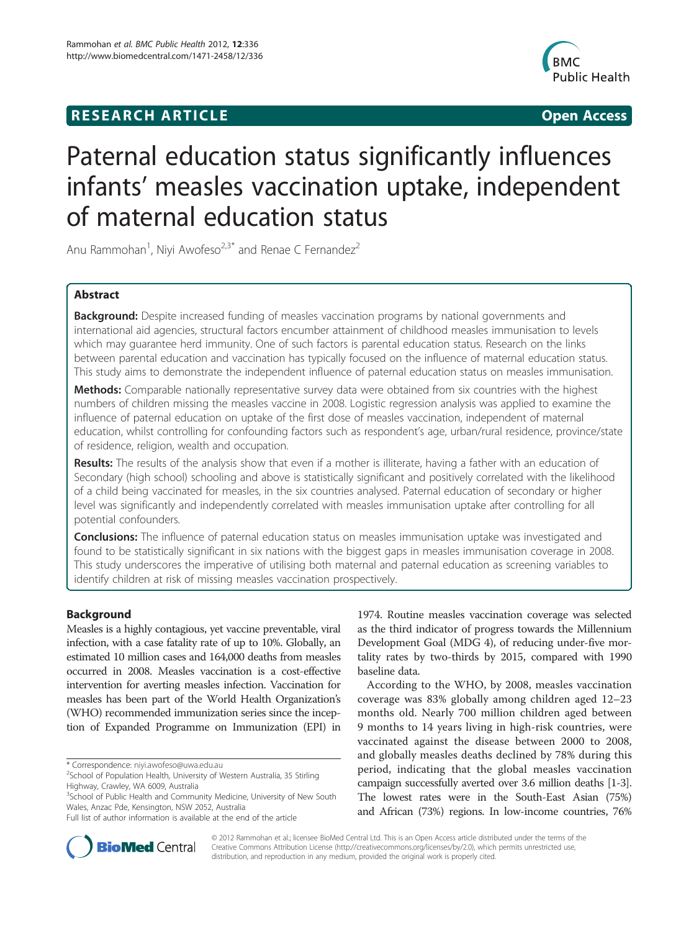# **RESEARCH ARTICLE Example 2014 CONSUMING A RESEARCH ARTICLE**



# Paternal education status significantly influences infants' measles vaccination uptake, independent of maternal education status

Anu Rammohan<sup>1</sup>, Niyi Awofeso<sup>2,3\*</sup> and Renae C Fernandez<sup>2</sup>

# Abstract

Background: Despite increased funding of measles vaccination programs by national governments and international aid agencies, structural factors encumber attainment of childhood measles immunisation to levels which may guarantee herd immunity. One of such factors is parental education status. Research on the links between parental education and vaccination has typically focused on the influence of maternal education status. This study aims to demonstrate the independent influence of paternal education status on measles immunisation.

Methods: Comparable nationally representative survey data were obtained from six countries with the highest numbers of children missing the measles vaccine in 2008. Logistic regression analysis was applied to examine the influence of paternal education on uptake of the first dose of measles vaccination, independent of maternal education, whilst controlling for confounding factors such as respondent's age, urban/rural residence, province/state of residence, religion, wealth and occupation.

Results: The results of the analysis show that even if a mother is illiterate, having a father with an education of Secondary (high school) schooling and above is statistically significant and positively correlated with the likelihood of a child being vaccinated for measles, in the six countries analysed. Paternal education of secondary or higher level was significantly and independently correlated with measles immunisation uptake after controlling for all potential confounders.

**Conclusions:** The influence of paternal education status on measles immunisation uptake was investigated and found to be statistically significant in six nations with the biggest gaps in measles immunisation coverage in 2008. This study underscores the imperative of utilising both maternal and paternal education as screening variables to identify children at risk of missing measles vaccination prospectively.

## Background

Measles is a highly contagious, yet vaccine preventable, viral infection, with a case fatality rate of up to 10%. Globally, an estimated 10 million cases and 164,000 deaths from measles occurred in 2008. Measles vaccination is a cost-effective intervention for averting measles infection. Vaccination for measles has been part of the World Health Organization's (WHO) recommended immunization series since the inception of Expanded Programme on Immunization (EPI) in

\* Correspondence: [niyi.awofeso@uwa.edu.au](mailto:niyi.awofeso@uwa.edu.au) <sup>2</sup>

1974. Routine measles vaccination coverage was selected as the third indicator of progress towards the Millennium Development Goal (MDG 4), of reducing under-five mortality rates by two-thirds by 2015, compared with 1990 baseline data.

According to the WHO, by 2008, measles vaccination coverage was 83% globally among children aged 12–23 months old. Nearly 700 million children aged between 9 months to 14 years living in high-risk countries, were vaccinated against the disease between 2000 to 2008, and globally measles deaths declined by 78% during this period, indicating that the global measles vaccination campaign successfully averted over 3.6 million deaths [[1-3](#page-5-0)]. The lowest rates were in the South-East Asian (75%) and African (73%) regions. In low-income countries, 76%



© 2012 Rammohan et al.; licensee BioMed Central Ltd. This is an Open Access article distributed under the terms of the Creative Commons Attribution License (http://creativecommons.org/licenses/by/2.0), which permits unrestricted use, distribution, and reproduction in any medium, provided the original work is properly cited.

<sup>&</sup>lt;sup>2</sup>School of Population Health, University of Western Australia, 35 Stirling Highway, Crawley, WA 6009, Australia

<sup>&</sup>lt;sup>3</sup>School of Public Health and Community Medicine, University of New South Wales, Anzac Pde, Kensington, NSW 2052, Australia

Full list of author information is available at the end of the article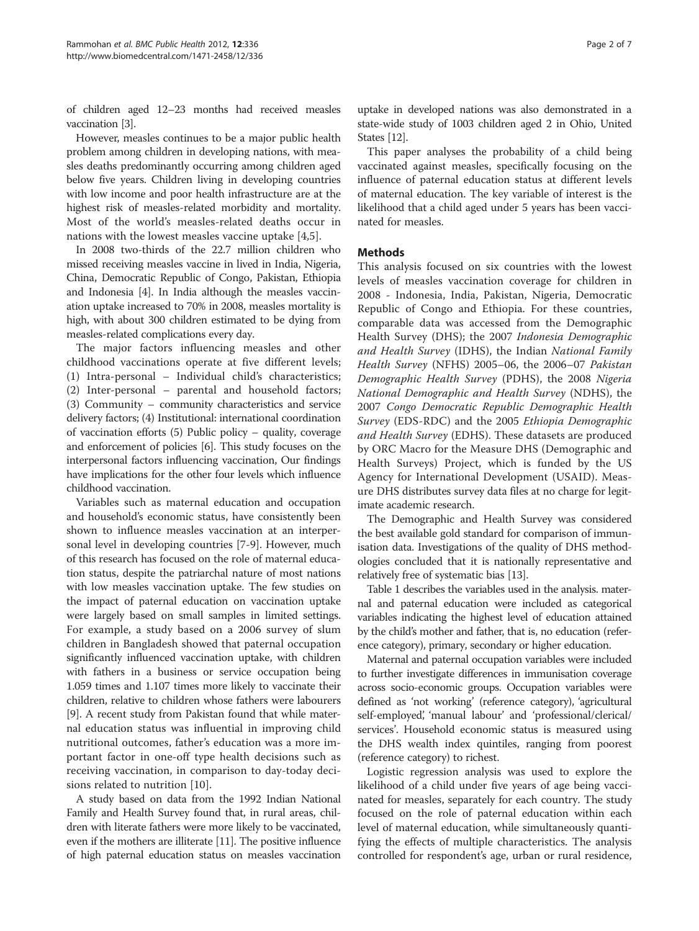of children aged 12–23 months had received measles vaccination [\[3\]](#page-5-0).

However, measles continues to be a major public health problem among children in developing nations, with measles deaths predominantly occurring among children aged below five years. Children living in developing countries with low income and poor health infrastructure are at the highest risk of measles-related morbidity and mortality. Most of the world's measles-related deaths occur in nations with the lowest measles vaccine uptake [[4,5\]](#page-5-0).

In 2008 two-thirds of the 22.7 million children who missed receiving measles vaccine in lived in India, Nigeria, China, Democratic Republic of Congo, Pakistan, Ethiopia and Indonesia [\[4\]](#page-5-0). In India although the measles vaccination uptake increased to 70% in 2008, measles mortality is high, with about 300 children estimated to be dying from measles-related complications every day.

The major factors influencing measles and other childhood vaccinations operate at five different levels; (1) Intra-personal – Individual child's characteristics; (2) Inter-personal – parental and household factors; (3) Community – community characteristics and service delivery factors; (4) Institutional: international coordination of vaccination efforts (5) Public policy – quality, coverage and enforcement of policies [\[6](#page-5-0)]. This study focuses on the interpersonal factors influencing vaccination, Our findings have implications for the other four levels which influence childhood vaccination.

Variables such as maternal education and occupation and household's economic status, have consistently been shown to influence measles vaccination at an interpersonal level in developing countries [[7-9](#page-5-0)]. However, much of this research has focused on the role of maternal education status, despite the patriarchal nature of most nations with low measles vaccination uptake. The few studies on the impact of paternal education on vaccination uptake were largely based on small samples in limited settings. For example, a study based on a 2006 survey of slum children in Bangladesh showed that paternal occupation significantly influenced vaccination uptake, with children with fathers in a business or service occupation being 1.059 times and 1.107 times more likely to vaccinate their children, relative to children whose fathers were labourers [[9\]](#page-5-0). A recent study from Pakistan found that while maternal education status was influential in improving child nutritional outcomes, father's education was a more important factor in one-off type health decisions such as receiving vaccination, in comparison to day-today decisions related to nutrition [\[10](#page-5-0)].

A study based on data from the 1992 Indian National Family and Health Survey found that, in rural areas, children with literate fathers were more likely to be vaccinated, even if the mothers are illiterate [\[11](#page-5-0)]. The positive influence of high paternal education status on measles vaccination

uptake in developed nations was also demonstrated in a state-wide study of 1003 children aged 2 in Ohio, United States [\[12\]](#page-5-0).

This paper analyses the probability of a child being vaccinated against measles, specifically focusing on the influence of paternal education status at different levels of maternal education. The key variable of interest is the likelihood that a child aged under 5 years has been vaccinated for measles.

## Methods

This analysis focused on six countries with the lowest levels of measles vaccination coverage for children in 2008 - Indonesia, India, Pakistan, Nigeria, Democratic Republic of Congo and Ethiopia. For these countries, comparable data was accessed from the Demographic Health Survey (DHS); the 2007 Indonesia Demographic and Health Survey (IDHS), the Indian National Family Health Survey (NFHS) 2005–06, the 2006–07 Pakistan Demographic Health Survey (PDHS), the 2008 Nigeria National Demographic and Health Survey (NDHS), the 2007 Congo Democratic Republic Demographic Health Survey (EDS-RDC) and the 2005 Ethiopia Demographic and Health Survey (EDHS). These datasets are produced by ORC Macro for the Measure DHS (Demographic and Health Surveys) Project, which is funded by the US Agency for International Development (USAID). Measure DHS distributes survey data files at no charge for legitimate academic research.

The Demographic and Health Survey was considered the best available gold standard for comparison of immunisation data. Investigations of the quality of DHS methodologies concluded that it is nationally representative and relatively free of systematic bias [[13](#page-5-0)].

Table [1](#page-2-0) describes the variables used in the analysis. maternal and paternal education were included as categorical variables indicating the highest level of education attained by the child's mother and father, that is, no education (reference category), primary, secondary or higher education.

Maternal and paternal occupation variables were included to further investigate differences in immunisation coverage across socio-economic groups. Occupation variables were defined as 'not working' (reference category), 'agricultural self-employed', 'manual labour' and 'professional/clerical/ services'. Household economic status is measured using the DHS wealth index quintiles, ranging from poorest (reference category) to richest.

Logistic regression analysis was used to explore the likelihood of a child under five years of age being vaccinated for measles, separately for each country. The study focused on the role of paternal education within each level of maternal education, while simultaneously quantifying the effects of multiple characteristics. The analysis controlled for respondent's age, urban or rural residence,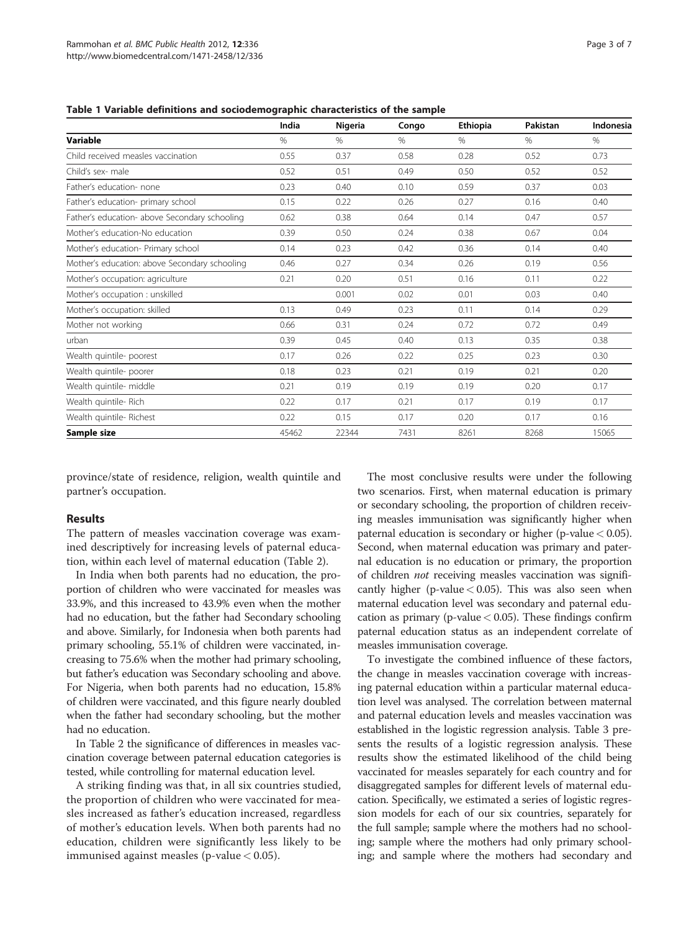|                                               | India         | Nigeria | Congo | Ethiopia | Pakistan | Indonesia |
|-----------------------------------------------|---------------|---------|-------|----------|----------|-----------|
| <b>Variable</b>                               | $\frac{0}{0}$ | $\%$    | $\%$  | $\%$     | $\%$     | $\%$      |
| Child received measles vaccination            | 0.55          | 0.37    | 0.58  | 0.28     | 0.52     | 0.73      |
| Child's sex- male                             | 0.52          | 0.51    | 0.49  | 0.50     | 0.52     | 0.52      |
| Father's education- none                      | 0.23          | 0.40    | 0.10  | 0.59     | 0.37     | 0.03      |
| Father's education- primary school            | 0.15          | 0.22    | 0.26  | 0.27     | 0.16     | 0.40      |
| Father's education- above Secondary schooling | 0.62          | 0.38    | 0.64  | 0.14     | 0.47     | 0.57      |
| Mother's education-No education               | 0.39          | 0.50    | 0.24  | 0.38     | 0.67     | 0.04      |
| Mother's education- Primary school            | 0.14          | 0.23    | 0.42  | 0.36     | 0.14     | 0.40      |
| Mother's education: above Secondary schooling | 0.46          | 0.27    | 0.34  | 0.26     | 0.19     | 0.56      |
| Mother's occupation: agriculture              | 0.21          | 0.20    | 0.51  | 0.16     | 0.11     | 0.22      |
| Mother's occupation : unskilled               |               | 0.001   | 0.02  | 0.01     | 0.03     | 0.40      |
| Mother's occupation: skilled                  | 0.13          | 0.49    | 0.23  | 0.11     | 0.14     | 0.29      |
| Mother not working                            | 0.66          | 0.31    | 0.24  | 0.72     | 0.72     | 0.49      |
| urban                                         | 0.39          | 0.45    | 0.40  | 0.13     | 0.35     | 0.38      |
| Wealth quintile- poorest                      | 0.17          | 0.26    | 0.22  | 0.25     | 0.23     | 0.30      |
| Wealth quintile- poorer                       | 0.18          | 0.23    | 0.21  | 0.19     | 0.21     | 0.20      |
| Wealth quintile- middle                       | 0.21          | 0.19    | 0.19  | 0.19     | 0.20     | 0.17      |
| Wealth quintile- Rich                         | 0.22          | 0.17    | 0.21  | 0.17     | 0.19     | 0.17      |
| Wealth quintile- Richest                      | 0.22          | 0.15    | 0.17  | 0.20     | 0.17     | 0.16      |
| Sample size                                   | 45462         | 22344   | 7431  | 8261     | 8268     | 15065     |

<span id="page-2-0"></span>Table 1 Variable definitions and sociodemographic characteristics of the sample

province/state of residence, religion, wealth quintile and partner's occupation.

#### Results

The pattern of measles vaccination coverage was examined descriptively for increasing levels of paternal education, within each level of maternal education (Table [2\)](#page-3-0).

In India when both parents had no education, the proportion of children who were vaccinated for measles was 33.9%, and this increased to 43.9% even when the mother had no education, but the father had Secondary schooling and above. Similarly, for Indonesia when both parents had primary schooling, 55.1% of children were vaccinated, increasing to 75.6% when the mother had primary schooling, but father's education was Secondary schooling and above. For Nigeria, when both parents had no education, 15.8% of children were vaccinated, and this figure nearly doubled when the father had secondary schooling, but the mother had no education.

In Table [2](#page-3-0) the significance of differences in measles vaccination coverage between paternal education categories is tested, while controlling for maternal education level.

A striking finding was that, in all six countries studied, the proportion of children who were vaccinated for measles increased as father's education increased, regardless of mother's education levels. When both parents had no education, children were significantly less likely to be immunised against measles (p-value  $< 0.05$ ).

The most conclusive results were under the following two scenarios. First, when maternal education is primary or secondary schooling, the proportion of children receiving measles immunisation was significantly higher when paternal education is secondary or higher (p-value  $< 0.05$ ). Second, when maternal education was primary and paternal education is no education or primary, the proportion of children not receiving measles vaccination was significantly higher (p-value  $< 0.05$ ). This was also seen when maternal education level was secondary and paternal education as primary (p-value  $< 0.05$ ). These findings confirm paternal education status as an independent correlate of measles immunisation coverage.

To investigate the combined influence of these factors, the change in measles vaccination coverage with increasing paternal education within a particular maternal education level was analysed. The correlation between maternal and paternal education levels and measles vaccination was established in the logistic regression analysis. Table [3](#page-4-0) presents the results of a logistic regression analysis. These results show the estimated likelihood of the child being vaccinated for measles separately for each country and for disaggregated samples for different levels of maternal education. Specifically, we estimated a series of logistic regression models for each of our six countries, separately for the full sample; sample where the mothers had no schooling; sample where the mothers had only primary schooling; and sample where the mothers had secondary and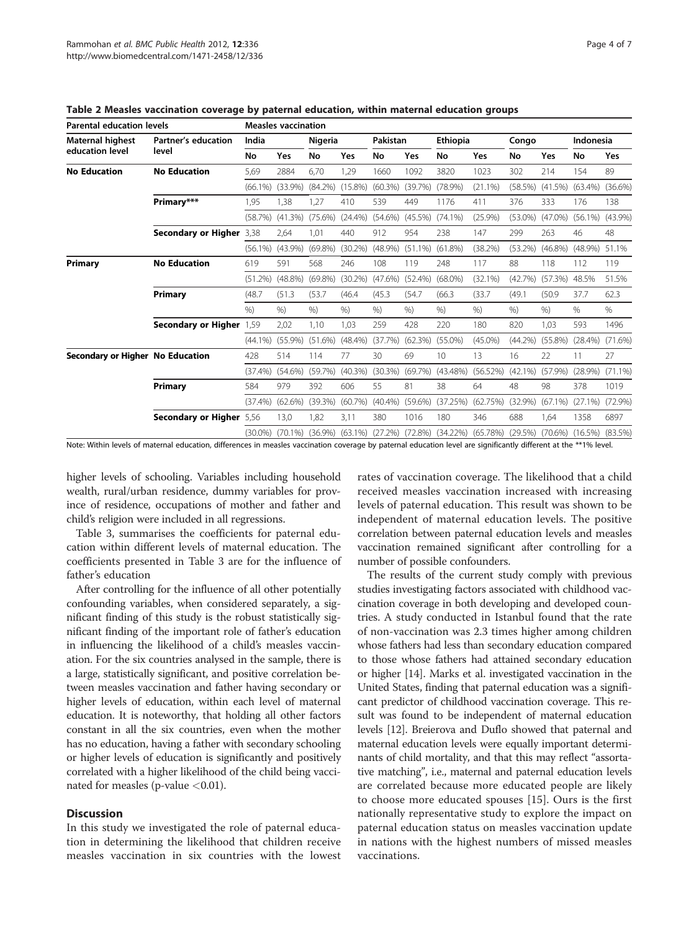| <b>Parental education levels</b>           | <b>Measles vaccination</b>   |            |            |            |                       |            |            |             |            |            |            |            |            |
|--------------------------------------------|------------------------------|------------|------------|------------|-----------------------|------------|------------|-------------|------------|------------|------------|------------|------------|
| <b>Maternal highest</b><br>education level | Partner's education<br>level | India      |            | Nigeria    |                       | Pakistan   |            | Ethiopia    |            | Congo      |            | Indonesia  |            |
|                                            |                              | No         | Yes        | No         | Yes                   | No         | Yes        | No          | Yes        | No         | Yes        | No         | Yes        |
| <b>No Education</b>                        | <b>No Education</b>          | 5,69       | 2884       | 6.70       | 1,29                  | 1660       | 1092       | 3820        | 1023       | 302        | 214        | 154        | 89         |
|                                            |                              | $(66.1\%)$ | $(33.9\%)$ | $(84.2\%)$ | $(15.8\%)$            | $(60.3\%)$ | (39.7%)    | $(78.9\%)$  | $(21.1\%)$ | (58.5%)    | (41.5%)    | $(63.4\%)$ | $(36.6\%)$ |
|                                            | Primary***                   | 1,95       | 1.38       | 1.27       | 410                   | 539        | 449        | 1176        | 411        | 376        | 333        | 176        | 138        |
|                                            |                              | (58.7%)    | $(41.3\%)$ | $(75.6\%)$ | (24.4%)               | $(54.6\%)$ | $(45.5\%)$ | $(74.1\%)$  | (25.9%)    | $(53.0\%)$ | $(47.0\%)$ | $(56.1\%)$ | $(43.9\%)$ |
|                                            | <b>Secondary or Higher</b>   | 3,38       | 2,64       | 1,01       | 440                   | 912        | 954        | 238         | 147        | 299        | 263        | 46         | 48         |
|                                            |                              | $(56.1\%)$ | $(43.9\%)$ | $(69.8\%)$ | $(30.2\%)$            | $(48.9\%)$ | $(51.1\%)$ | $(61.8\%)$  | (38.2%)    | $(53.2\%)$ | $(46.8\%)$ | $(48.9\%)$ | 51.1%      |
| Primary                                    | <b>No Education</b>          | 619        | 591        | 568        | 246                   | 108        | 119        | 248         | 117        | 88         | 118        | 112        | 119        |
|                                            |                              | (51.2%)    | $(48.8\%)$ | $(69.8\%)$ | $(30.2\%)$            | $(47.6\%)$ | (52.4%)    | $(68.0\%)$  | $(32.1\%)$ | (42.7%)    | (57.3%)    | 48.5%      | 51.5%      |
|                                            | Primary                      | (48.7)     | (51.3)     | (53.7)     | (46.4)                | (45.3)     | (54.7)     | (66.3)      | (33.7)     | (49.1)     | (50.9)     | 37.7       | 62.3       |
|                                            |                              | $%$ )      | $%$ )      | $%$ )      | %                     | %          | $%$ )      | $%$ )       | $%$ )      | %          | %          | $\%$       | %          |
|                                            | <b>Secondary or Higher</b>   | 1,59       | 2,02       | 1,10       | 1,03                  | 259        | 428        | 220         | 180        | 820        | 1,03       | 593        | 1496       |
|                                            |                              | $(44.1\%)$ | $(55.9\%)$ | $(51.6\%)$ | $(48.4\%)$            | (37.7%)    | $(62.3\%)$ | $(55.0\%)$  | $(45.0\%)$ | $(44.2\%)$ | $(55.8\%)$ | $(28.4\%)$ | $(71.6\%)$ |
| Secondary or Higher No Education           |                              | 428        | 514        | 114        | 77                    | 30         | 69         | 10          | 13         | 16         | 22         | 11         | 27         |
|                                            |                              | $(37.4\%)$ | $(54.6\%)$ | (59.7%)    | $(40.3\%)$            | $(30.3\%)$ | (69.7%)    | $(43.48\%)$ | (56.52%)   | $(42.1\%)$ | (57.9%)    | $(28.9\%)$ | $(71.1\%)$ |
|                                            | Primary                      | 584        | 979        | 392        | 606                   | 55         | 81         | 38          | 64         | 48         | 98         | 378        | 1019       |
|                                            |                              | $(37.4\%)$ | $(62.6\%)$ | $(39.3\%)$ | (60.7%)               | $(40.4\%)$ | $(59.6\%)$ | (37.25%)    | (62.75%)   | $(32.9\%)$ | $(67.1\%)$ | $(27.1\%)$ | (72.9%)    |
|                                            | Secondary or Higher          | 5,56       | 13,0       | 1,82       | 3,11                  | 380        | 1016       | 180         | 346        | 688        | 1,64       | 1358       | 6897       |
|                                            |                              | $(30.0\%)$ | $(70.1\%)$ |            | $(36.9\%)$ $(63.1\%)$ | (27.2%)    | $(72.8\%)$ | $(34.22\%)$ | (65.78%)   | (29.5%)    | $(70.6\%)$ | $(16.5\%)$ | $(83.5\%)$ |

<span id="page-3-0"></span>Table 2 Measles vaccination coverage by paternal education, within maternal education groups

Note: Within levels of maternal education, differences in measles vaccination coverage by paternal education level are significantly different at the \*\*1% level.

higher levels of schooling. Variables including household wealth, rural/urban residence, dummy variables for province of residence, occupations of mother and father and child's religion were included in all regressions.

Table [3](#page-4-0), summarises the coefficients for paternal education within different levels of maternal education. The coefficients presented in Table [3](#page-4-0) are for the influence of father's education

After controlling for the influence of all other potentially confounding variables, when considered separately, a significant finding of this study is the robust statistically significant finding of the important role of father's education in influencing the likelihood of a child's measles vaccination. For the six countries analysed in the sample, there is a large, statistically significant, and positive correlation between measles vaccination and father having secondary or higher levels of education, within each level of maternal education. It is noteworthy, that holding all other factors constant in all the six countries, even when the mother has no education, having a father with secondary schooling or higher levels of education is significantly and positively correlated with a higher likelihood of the child being vaccinated for measles (p-value  $<$  0.01).

# **Discussion**

In this study we investigated the role of paternal education in determining the likelihood that children receive measles vaccination in six countries with the lowest

rates of vaccination coverage. The likelihood that a child received measles vaccination increased with increasing levels of paternal education. This result was shown to be independent of maternal education levels. The positive correlation between paternal education levels and measles vaccination remained significant after controlling for a number of possible confounders.

The results of the current study comply with previous studies investigating factors associated with childhood vaccination coverage in both developing and developed countries. A study conducted in Istanbul found that the rate of non-vaccination was 2.3 times higher among children whose fathers had less than secondary education compared to those whose fathers had attained secondary education or higher [\[14\]](#page-5-0). Marks et al. investigated vaccination in the United States, finding that paternal education was a significant predictor of childhood vaccination coverage. This result was found to be independent of maternal education levels [[12](#page-5-0)]. Breierova and Duflo showed that paternal and maternal education levels were equally important determinants of child mortality, and that this may reflect "assortative matching", i.e., maternal and paternal education levels are correlated because more educated people are likely to choose more educated spouses [[15\]](#page-5-0). Ours is the first nationally representative study to explore the impact on paternal education status on measles vaccination update in nations with the highest numbers of missed measles vaccinations.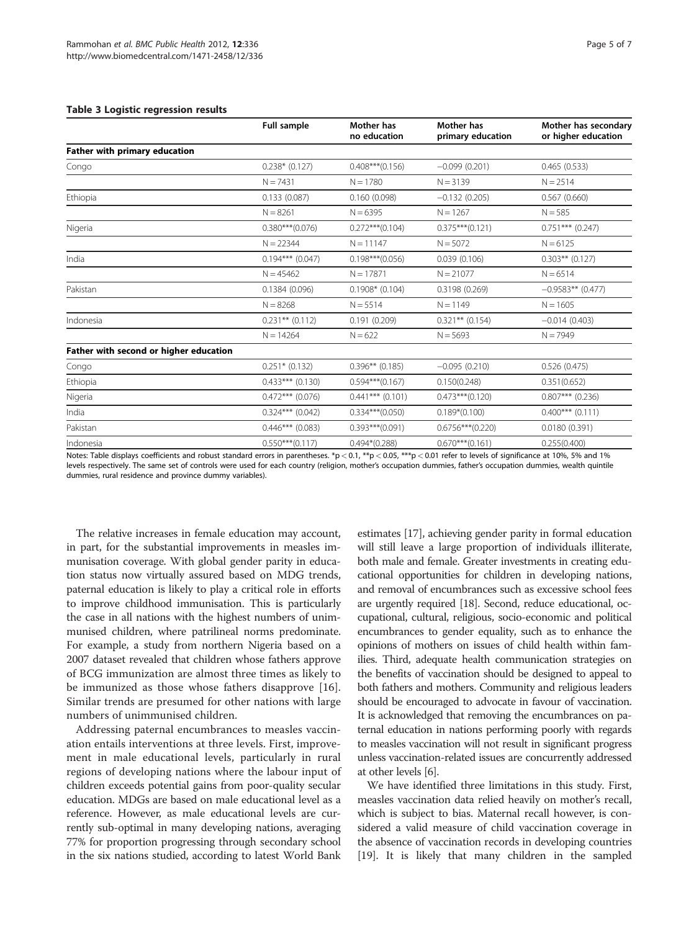<span id="page-4-0"></span>

|                                        | Full sample          | Mother has<br>no education | Mother has<br>primary education | Mother has secondary<br>or higher education |
|----------------------------------------|----------------------|----------------------------|---------------------------------|---------------------------------------------|
| Father with primary education          |                      |                            |                                 |                                             |
| Congo                                  | $0.238*(0.127)$      | $0.408***$ (0.156)         | $-0.099(0.201)$                 | 0.465(0.533)                                |
|                                        | $N = 7431$           | $N = 1780$                 | $N = 3139$                      | $N = 2514$                                  |
| Ethiopia                               | 0.133(0.087)         | 0.160(0.098)               | $-0.132(0.205)$                 | 0.567(0.660)                                |
|                                        | $N = 8261$           | $N = 6395$                 | $N = 1267$                      | $N = 585$                                   |
| Nigeria                                | $0.380***$ (0.076)   | $0.272***$ (0.104)         | $0.375***(0.121)$               | $0.751***$ (0.247)                          |
|                                        | $N = 22344$          | $N = 11147$                | $N = 5072$                      | $N = 6125$                                  |
| India                                  | $0.194***$ (0.047)   | $0.198***$ (0.056)         | 0.039(0.106)                    | $0.303***$ (0.127)                          |
|                                        | $N = 45462$          | $N = 17871$                | $N = 21077$                     | $N = 6514$                                  |
| Pakistan                               | 0.1384(0.096)        | $0.1908*$ (0.104)          | 0.3198 (0.269)                  | $-0.9583**$ (0.477)                         |
|                                        | $N = 8268$           | $N = 5514$                 | $N = 1149$                      | $N = 1605$                                  |
| Indonesia                              | $0.231***$ (0.112)   | 0.191(0.209)               | $0.321***$ (0.154)              | $-0.014(0.403)$                             |
|                                        | $N = 14264$          | $N = 622$                  | $N = 5693$                      | $N = 7949$                                  |
| Father with second or higher education |                      |                            |                                 |                                             |
| Congo                                  | $0.251*$ (0.132)     | $0.396**$ (0.185)          | $-0.095(0.210)$                 | 0.526(0.475)                                |
| Ethiopia                               | $0.433***$ $(0.130)$ | $0.594***$ (0.167)         | 0.150(0.248)                    | 0.351(0.652)                                |
| Nigeria                                | $0.472***$ (0.076)   | $0.441***$ (0.101)         | $0.473***(0.120)$               | $0.807***$ (0.236)                          |
| India                                  | $0.324***$ (0.042)   | $0.334***(0.050)$          | $0.189*(0.100)$                 | $0.400***$ (0.111)                          |
| Pakistan                               | $0.446***$ (0.083)   | $0.393***$ (0.091)         | $0.6756***(0.220)$              | 0.0180(0.391)                               |
| Indonesia                              | $0.550***(0.117)$    | $0.494*(0.288)$            | $0.670***$ (0.161)              | 0.255(0.400)                                |

Notes: Table displays coefficients and robust standard errors in parentheses. \*p < 0.1, \*\*p < 0.05, \*\*\*p < 0.01 refer to levels of significance at 10%, 5% and 1% levels respectively. The same set of controls were used for each country (religion, mother's occupation dummies, father's occupation dummies, wealth quintile dummies, rural residence and province dummy variables).

The relative increases in female education may account, in part, for the substantial improvements in measles immunisation coverage. With global gender parity in education status now virtually assured based on MDG trends, paternal education is likely to play a critical role in efforts to improve childhood immunisation. This is particularly the case in all nations with the highest numbers of unimmunised children, where patrilineal norms predominate. For example, a study from northern Nigeria based on a 2007 dataset revealed that children whose fathers approve of BCG immunization are almost three times as likely to be immunized as those whose fathers disapprove [\[16](#page-5-0)]. Similar trends are presumed for other nations with large numbers of unimmunised children.

Addressing paternal encumbrances to measles vaccination entails interventions at three levels. First, improvement in male educational levels, particularly in rural regions of developing nations where the labour input of children exceeds potential gains from poor-quality secular education. MDGs are based on male educational level as a reference. However, as male educational levels are currently sub-optimal in many developing nations, averaging 77% for proportion progressing through secondary school in the six nations studied, according to latest World Bank

estimates [\[17](#page-5-0)], achieving gender parity in formal education will still leave a large proportion of individuals illiterate, both male and female. Greater investments in creating educational opportunities for children in developing nations, and removal of encumbrances such as excessive school fees are urgently required [[18](#page-5-0)]. Second, reduce educational, occupational, cultural, religious, socio-economic and political encumbrances to gender equality, such as to enhance the opinions of mothers on issues of child health within families. Third, adequate health communication strategies on the benefits of vaccination should be designed to appeal to both fathers and mothers. Community and religious leaders should be encouraged to advocate in favour of vaccination. It is acknowledged that removing the encumbrances on paternal education in nations performing poorly with regards to measles vaccination will not result in significant progress unless vaccination-related issues are concurrently addressed at other levels [[6](#page-5-0)].

We have identified three limitations in this study. First, measles vaccination data relied heavily on mother's recall, which is subject to bias. Maternal recall however, is considered a valid measure of child vaccination coverage in the absence of vaccination records in developing countries [[19](#page-5-0)]. It is likely that many children in the sampled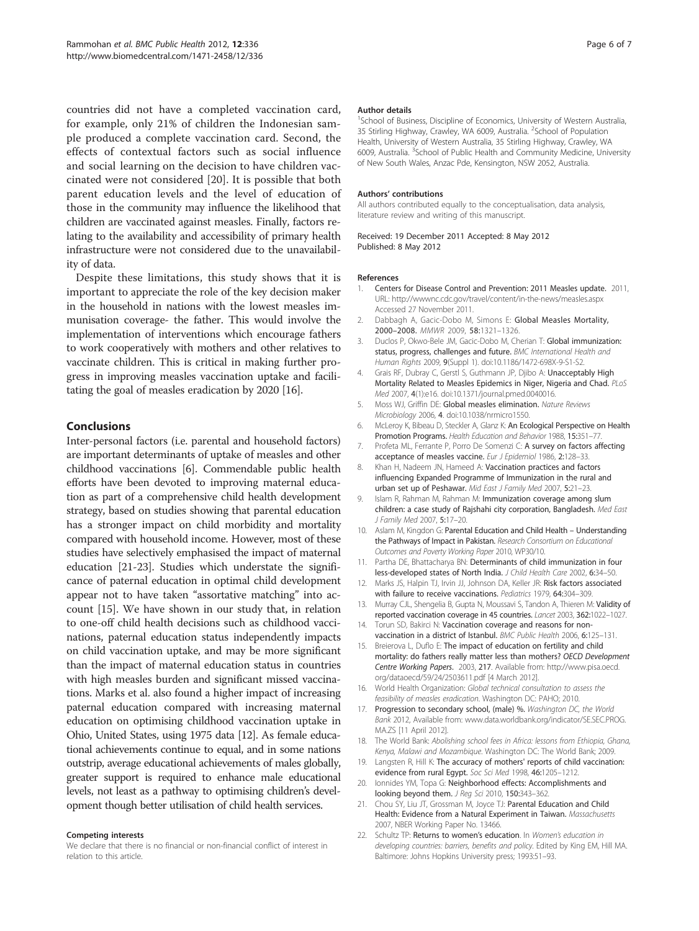<span id="page-5-0"></span>countries did not have a completed vaccination card, for example, only 21% of children the Indonesian sample produced a complete vaccination card. Second, the effects of contextual factors such as social influence and social learning on the decision to have children vaccinated were not considered [20]. It is possible that both parent education levels and the level of education of those in the community may influence the likelihood that children are vaccinated against measles. Finally, factors relating to the availability and accessibility of primary health infrastructure were not considered due to the unavailability of data.

Despite these limitations, this study shows that it is important to appreciate the role of the key decision maker in the household in nations with the lowest measles immunisation coverage- the father. This would involve the implementation of interventions which encourage fathers to work cooperatively with mothers and other relatives to vaccinate children. This is critical in making further progress in improving measles vaccination uptake and facilitating the goal of measles eradication by 2020 [16].

#### Conclusions

Inter-personal factors (i.e. parental and household factors) are important determinants of uptake of measles and other childhood vaccinations [6]. Commendable public health efforts have been devoted to improving maternal education as part of a comprehensive child health development strategy, based on studies showing that parental education has a stronger impact on child morbidity and mortality compared with household income. However, most of these studies have selectively emphasised the impact of maternal education [21-[23](#page-6-0)]. Studies which understate the significance of paternal education in optimal child development appear not to have taken "assortative matching" into account [15]. We have shown in our study that, in relation to one-off child health decisions such as childhood vaccinations, paternal education status independently impacts on child vaccination uptake, and may be more significant than the impact of maternal education status in countries with high measles burden and significant missed vaccinations. Marks et al. also found a higher impact of increasing paternal education compared with increasing maternal education on optimising childhood vaccination uptake in Ohio, United States, using 1975 data [12]. As female educational achievements continue to equal, and in some nations outstrip, average educational achievements of males globally, greater support is required to enhance male educational levels, not least as a pathway to optimising children's development though better utilisation of child health services.

#### Competing interests

We declare that there is no financial or non-financial conflict of interest in relation to this article.

#### Author details

<sup>1</sup>School of Business, Discipline of Economics, University of Western Australia, 35 Stirling Highway, Crawley, WA 6009, Australia. <sup>2</sup>School of Population Health, University of Western Australia, 35 Stirling Highway, Crawley, WA 6009, Australia. <sup>3</sup>School of Public Health and Community Medicine, University of New South Wales, Anzac Pde, Kensington, NSW 2052, Australia.

#### Authors' contributions

All authors contributed equally to the conceptualisation, data analysis, literature review and writing of this manuscript.

Received: 19 December 2011 Accepted: 8 May 2012 Published: 8 May 2012

#### References

- 1. Centers for Disease Control and Prevention: 2011 Measles update. 2011, URL: http://wwwnc.cdc.gov/travel/content/in-the-news/measles.aspx Accessed 27 November 2011.
- 2. Dabbagh A, Gacic-Dobo M, Simons E: Global Measles Mortality, 2000–2008. MMWR 2009, 58:1321–1326.
- 3. Duclos P, Okwo-Bele JM, Gacic-Dobo M, Cherian T: Global immunization: status, progress, challenges and future. BMC International Health and Human Rights 2009, 9(Suppl 1). doi[:10.1186/1472-698X-9-S1-S2](http://dx.doi.org/10.1186/1472-698X-9-S1-S2).
- 4. Grais RF, Dubray C, Gerstl S, Guthmann JP, Djibo A: Unacceptably High Mortality Related to Measles Epidemics in Niger, Nigeria and Chad. PLoS Med 2007, 4(1):e16. doi[:10.1371/journal.pmed.0040016.](http://dx.doi.org/10.1186/10.1371/journal.pmed.0040016)
- 5. Moss WJ, Griffin DE: Global measles elimination. Nature Reviews Microbiology 2006, 4. doi:[10.1038/nrmicro1550](http://dx.doi.org/10.1038/nrmicro1550).
- 6. McLeroy K, Bibeau D, Steckler A, Glanz K: An Ecological Perspective on Health Promotion Programs. Health Education and Behavior 1988, 15:351–77.
- 7. Profeta ML, Ferrante P, Porro De Somenzi C: A survey on factors affecting acceptance of measles vaccine. Eur J Epidemiol 1986, 2:128–33.
- 8. Khan H, Nadeem JN, Hameed A: Vaccination practices and factors influencing Expanded Programme of Immunization in the rural and urban set up of Peshawar. Mid East J Family Med 2007, 5:21-23.
- 9. Islam R, Rahman M, Rahman M: Immunization coverage among slum children: a case study of Rajshahi city corporation, Bangladesh. Med East J Family Med 2007, 5:17–20.
- 10. Aslam M, Kingdon G: Parental Education and Child Health Understanding the Pathways of Impact in Pakistan. Research Consortium on Educational Outcomes and Poverty Working Paper 2010, WP30/10.
- 11. Partha DE, Bhattacharya BN: Determinants of child immunization in four less-developed states of North India. J Child Health Care 2002, 6:34-50.
- 12. Marks JS, Halpin TJ, Irvin JJ, Johnson DA, Keller JR: Risk factors associated with failure to receive vaccinations. Pediatrics 1979, 64:304–309.
- 13. Murray CJL, Shengelia B, Gupta N, Moussavi S, Tandon A, Thieren M: Validity of reported vaccination coverage in 45 countries. Lancet 2003, 362:1022–1027.
- 14. Torun SD, Bakirci N: Vaccination coverage and reasons for nonvaccination in a district of Istanbul. BMC Public Health 2006, 6:125–131.
- 15. Breierova L, Duflo E: The impact of education on fertility and child mortality: do fathers really matter less than mothers? OECD Development Centre Working Papers. 2003, <sup>217</sup>. Available from: [http://www.pisa.oecd.](http://www.pisa.oecd.org/dataoecd/59/24/2503611.pdf) [org/dataoecd/59/24/2503611.pdf](http://www.pisa.oecd.org/dataoecd/59/24/2503611.pdf) [4 March 2012].
- 16. World Health Organization: Global technical consultation to assess the feasibility of measles eradication. Washington DC: PAHO; 2010.
- 17. Progression to secondary school, (male) %. Washington DC, the World Bank 2012, Available from: [www.data.worldbank.org/indicator/SE.SEC.PROG.](www.data.worldbank.org/indicator/SE.SEC.PROG.MA.ZS) [MA.ZS](www.data.worldbank.org/indicator/SE.SEC.PROG.MA.ZS) [11 April 2012].
- 18. The World Bank: Abolishing school fees in Africa: lessons from Ethiopia, Ghana, Kenya, Malawi and Mozambique. Washington DC: The World Bank; 2009.
- 19. Langsten R, Hill K: The accuracy of mothers' reports of child vaccination: evidence from rural Egypt. Soc Sci Med 1998, 46:1205–1212.
- 20. Ionnides YM, Topa G: Neighborhood effects: Accomplishments and looking beyond them. J Reg Sci 2010, 150:343-362.
- 21. Chou SY, Liu JT, Grossman M, Joyce TJ: Parental Education and Child Health: Evidence from a Natural Experiment in Taiwan. Massachusetts 2007, NBER Working Paper No. 13466.
- 22. Schultz TP: Returns to women's education. In Women's education in developing countries: barriers, benefits and policy. Edited by King EM, Hill MA. Baltimore: Johns Hopkins University press; 1993:51–93.